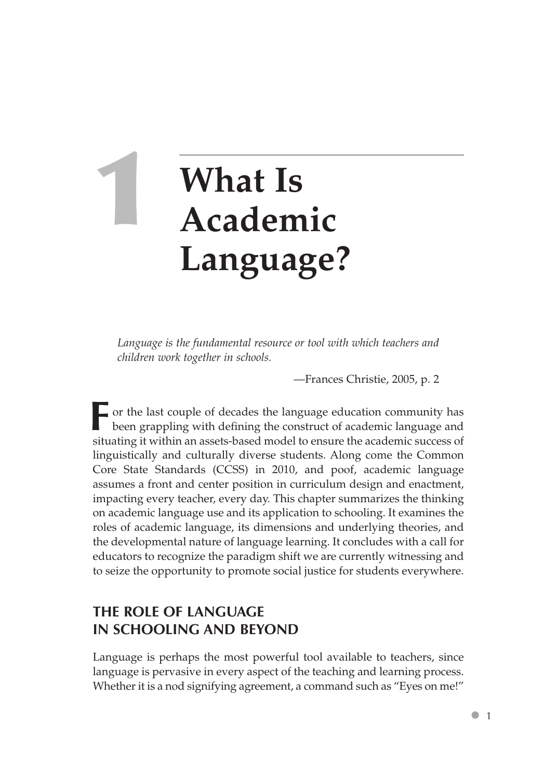# 1 **What Is**<br>Academ **Academic Language?**

*Language is the fundamental resource or tool with which teachers and children work together in schools.*

—Frances Christie, 2005, p. 2

**F** or the last couple of decades the language education community has been grappling with defining the construct of academic language and situating it within an assets-based model to ensure the academic success of linguistically and culturally diverse students. Along come the Common Core State Standards (CCSS) in 2010, and poof, academic language assumes a front and center position in curriculum design and enactment, impacting every teacher, every day. This chapter summarizes the thinking on academic language use and its application to schooling. It examines the roles of academic language, its dimensions and underlying theories, and the developmental nature of language learning. It concludes with a call for educators to recognize the paradigm shift we are currently witnessing and to seize the opportunity to promote social justice for students everywhere.

# **THE ROLE OF LANGUAGE IN SCHOOLING AND BEYOND**

Language is perhaps the most powerful tool available to teachers, since language is pervasive in every aspect of the teaching and learning process. Whether it is a nod signifying agreement, a command such as "Eyes on me!"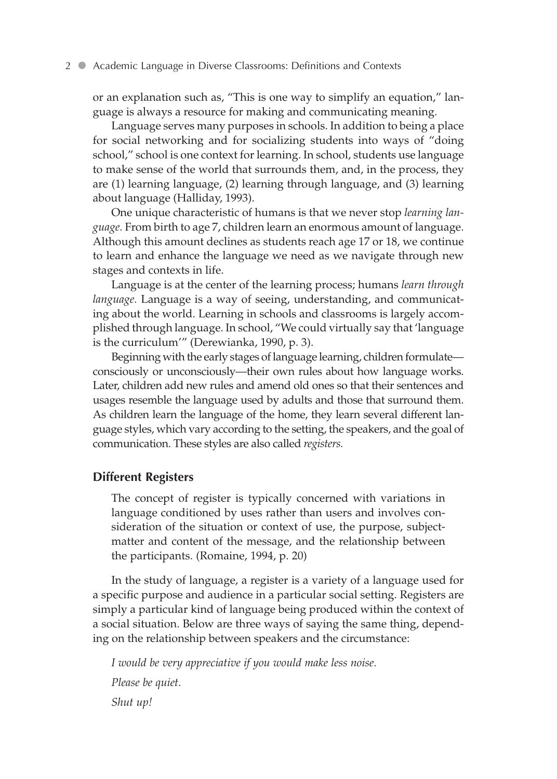or an explanation such as, "This is one way to simplify an equation," language is always a resource for making and communicating meaning.

Language serves many purposes in schools. In addition to being a place for social networking and for socializing students into ways of "doing school," school is one context for learning. In school, students use language to make sense of the world that surrounds them, and, in the process, they are (1) learning language, (2) learning through language, and (3) learning about language (Halliday, 1993).

One unique characteristic of humans is that we never stop *learning language.* From birth to age 7, children learn an enormous amount of language. Although this amount declines as students reach age 17 or 18, we continue to learn and enhance the language we need as we navigate through new stages and contexts in life.

Language is at the center of the learning process; humans *learn through language.* Language is a way of seeing, understanding, and communicating about the world. Learning in schools and classrooms is largely accomplished through language. In school, "We could virtually say that 'language is the curriculum'" (Derewianka, 1990, p. 3).

Beginning with the early stages of language learning, children formulate consciously or unconsciously—their own rules about how language works. Later, children add new rules and amend old ones so that their sentences and usages resemble the language used by adults and those that surround them. As children learn the language of the home, they learn several different language styles, which vary according to the setting, the speakers, and the goal of communication. These styles are also called *registers.*

#### **Different Registers**

The concept of register is typically concerned with variations in language conditioned by uses rather than users and involves consideration of the situation or context of use, the purpose, subjectmatter and content of the message, and the relationship between the participants. (Romaine, 1994, p. 20)

In the study of language, a register is a variety of a language used for a specific purpose and audience in a particular social setting. Registers are simply a particular kind of language being produced within the context of a social situation. Below are three ways of saying the same thing, depending on the relationship between speakers and the circumstance:

*I would be very appreciative if you would make less noise. Please be quiet. Shut up!*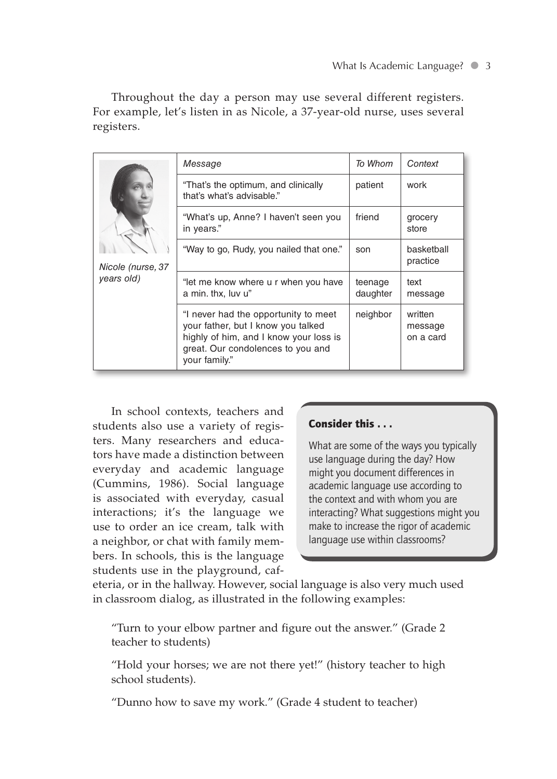Throughout the day a person may use several different registers. For example, let's listen in as Nicole, a 37-year-old nurse, uses several registers.

|                   | Message                                                                                                                                                                    | To Whom             | Context                         |
|-------------------|----------------------------------------------------------------------------------------------------------------------------------------------------------------------------|---------------------|---------------------------------|
|                   | "That's the optimum, and clinically<br>that's what's advisable."                                                                                                           | patient             | work                            |
|                   | "What's up, Anne? I haven't seen you<br>in years."                                                                                                                         | friend              | grocery<br>store                |
| Nicole (nurse, 37 | "Way to go, Rudy, you nailed that one."                                                                                                                                    | son                 | basketball<br>practice          |
| years old)        | "let me know where u r when you have<br>a min. thx, luv u"                                                                                                                 | teenage<br>daughter | text<br>message                 |
|                   | "I never had the opportunity to meet<br>your father, but I know you talked<br>highly of him, and I know your loss is<br>great. Our condolences to you and<br>vour family." | neighbor            | written<br>message<br>on a card |

In school contexts, teachers and students also use a variety of registers. Many researchers and educators have made a distinction between everyday and academic language (Cummins, 1986). Social language is associated with everyday, casual interactions; it's the language we use to order an ice cream, talk with a neighbor, or chat with family members. In schools, this is the language students use in the playground, caf-

#### Consider this . . .

What are some of the ways you typically use language during the day? How might you document differences in academic language use according to the context and with whom you are interacting? What suggestions might you make to increase the rigor of academic language use within classrooms?

eteria, or in the hallway. However, social language is also very much used in classroom dialog, as illustrated in the following examples:

"Turn to your elbow partner and figure out the answer." (Grade 2 teacher to students)

"Hold your horses; we are not there yet!" (history teacher to high school students).

"Dunno how to save my work." (Grade 4 student to teacher)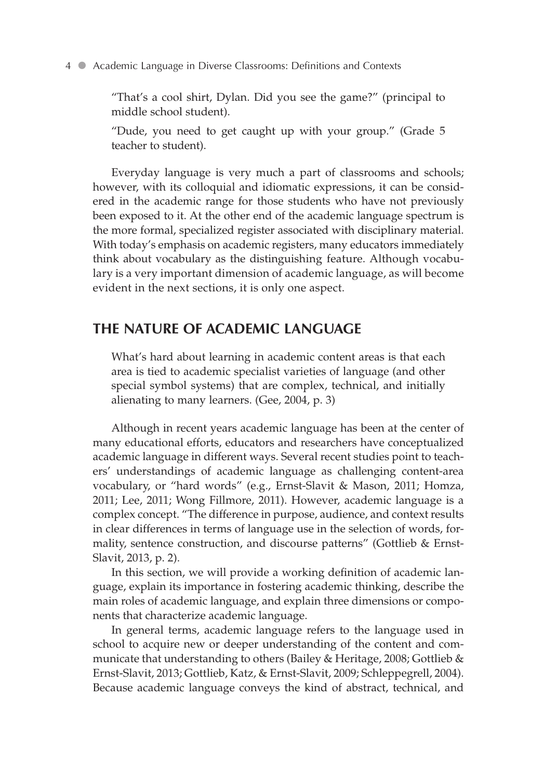"That's a cool shirt, Dylan. Did you see the game?" (principal to middle school student).

"Dude, you need to get caught up with your group." (Grade 5 teacher to student).

Everyday language is very much a part of classrooms and schools; however, with its colloquial and idiomatic expressions, it can be considered in the academic range for those students who have not previously been exposed to it. At the other end of the academic language spectrum is the more formal, specialized register associated with disciplinary material. With today's emphasis on academic registers, many educators immediately think about vocabulary as the distinguishing feature. Although vocabulary is a very important dimension of academic language, as will become evident in the next sections, it is only one aspect.

### **THE NATURE OF ACADEMIC LANGUAGE**

What's hard about learning in academic content areas is that each area is tied to academic specialist varieties of language (and other special symbol systems) that are complex, technical, and initially alienating to many learners. (Gee, 2004, p. 3)

Although in recent years academic language has been at the center of many educational efforts, educators and researchers have conceptualized academic language in different ways. Several recent studies point to teachers' understandings of academic language as challenging content-area vocabulary, or "hard words" (e.g., Ernst-Slavit & Mason, 2011; Homza, 2011; Lee, 2011; Wong Fillmore, 2011). However, academic language is a complex concept. "The difference in purpose, audience, and context results in clear differences in terms of language use in the selection of words, formality, sentence construction, and discourse patterns" (Gottlieb & Ernst-Slavit, 2013, p. 2).

In this section, we will provide a working definition of academic language, explain its importance in fostering academic thinking, describe the main roles of academic language, and explain three dimensions or components that characterize academic language.

In general terms, academic language refers to the language used in school to acquire new or deeper understanding of the content and communicate that understanding to others (Bailey & Heritage, 2008; Gottlieb & Ernst-Slavit, 2013; Gottlieb, Katz, & Ernst-Slavit, 2009; Schleppegrell, 2004). Because academic language conveys the kind of abstract, technical, and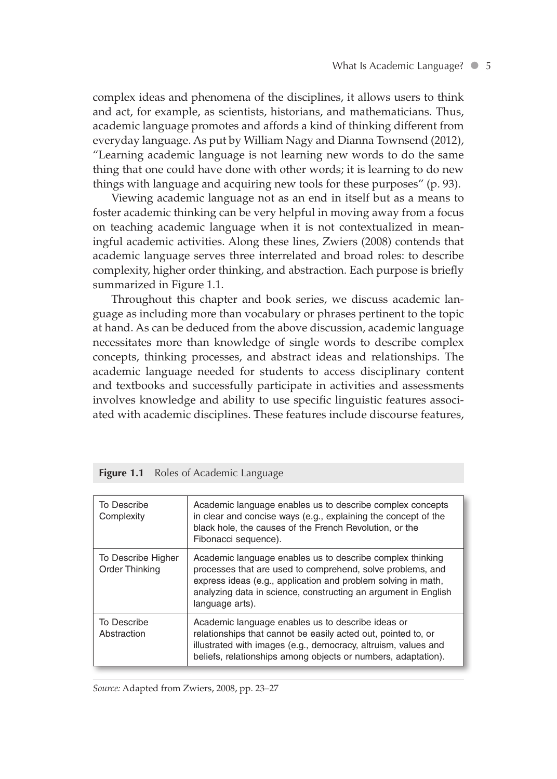complex ideas and phenomena of the disciplines, it allows users to think and act, for example, as scientists, historians, and mathematicians. Thus, academic language promotes and affords a kind of thinking different from everyday language. As put by William Nagy and Dianna Townsend (2012), "Learning academic language is not learning new words to do the same thing that one could have done with other words; it is learning to do new things with language and acquiring new tools for these purposes" (p. 93).

Viewing academic language not as an end in itself but as a means to foster academic thinking can be very helpful in moving away from a focus on teaching academic language when it is not contextualized in meaningful academic activities. Along these lines, Zwiers (2008) contends that academic language serves three interrelated and broad roles: to describe complexity, higher order thinking, and abstraction. Each purpose is briefly summarized in Figure 1.1.

Throughout this chapter and book series, we discuss academic language as including more than vocabulary or phrases pertinent to the topic at hand. As can be deduced from the above discussion, academic language necessitates more than knowledge of single words to describe complex concepts, thinking processes, and abstract ideas and relationships. The academic language needed for students to access disciplinary content and textbooks and successfully participate in activities and assessments involves knowledge and ability to use specific linguistic features associated with academic disciplines. These features include discourse features,

| To Describe<br>Complexity            | Academic language enables us to describe complex concepts<br>in clear and concise ways (e.g., explaining the concept of the<br>black hole, the causes of the French Revolution, or the<br>Fibonacci sequence).                                                                |
|--------------------------------------|-------------------------------------------------------------------------------------------------------------------------------------------------------------------------------------------------------------------------------------------------------------------------------|
| To Describe Higher<br>Order Thinking | Academic language enables us to describe complex thinking<br>processes that are used to comprehend, solve problems, and<br>express ideas (e.g., application and problem solving in math,<br>analyzing data in science, constructing an argument in English<br>language arts). |
| To Describe<br>Abstraction           | Academic language enables us to describe ideas or<br>relationships that cannot be easily acted out, pointed to, or<br>illustrated with images (e.g., democracy, altruism, values and<br>beliefs, relationships among objects or numbers, adaptation).                         |

**Figure 1.1** Roles of Academic Language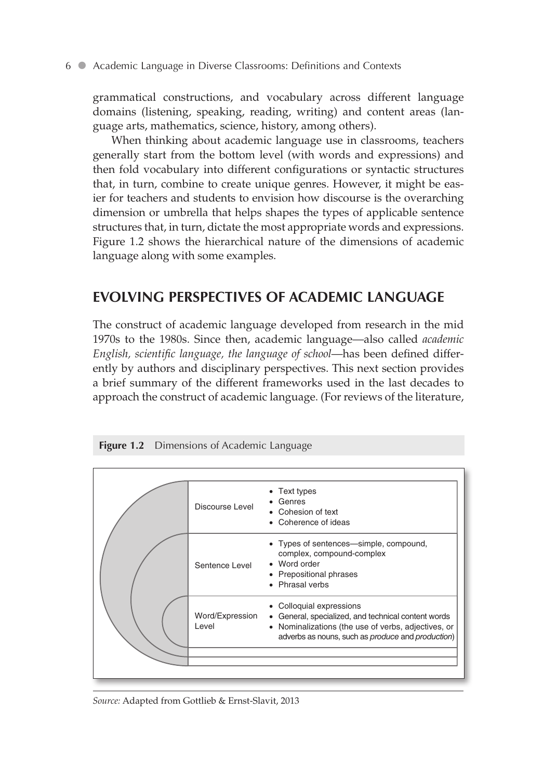grammatical constructions, and vocabulary across different language domains (listening, speaking, reading, writing) and content areas (language arts, mathematics, science, history, among others).

When thinking about academic language use in classrooms, teachers generally start from the bottom level (with words and expressions) and then fold vocabulary into different configurations or syntactic structures that, in turn, combine to create unique genres. However, it might be easier for teachers and students to envision how discourse is the overarching dimension or umbrella that helps shapes the types of applicable sentence structures that, in turn, dictate the most appropriate words and expressions. Figure 1.2 shows the hierarchical nature of the dimensions of academic language along with some examples.

### **EVOLVING PERSPECTIVES OF ACADEMIC LANGUAGE**

The construct of academic language developed from research in the mid 1970s to the 1980s. Since then, academic language—also called *academic English, scientific language, the language of school*—has been defined differently by authors and disciplinary perspectives. This next section provides a brief summary of the different frameworks used in the last decades to approach the construct of academic language. (For reviews of the literature,



**Figure 1.2** Dimensions of Academic Language

*Source:* Adapted from Gottlieb & Ernst-Slavit, 2013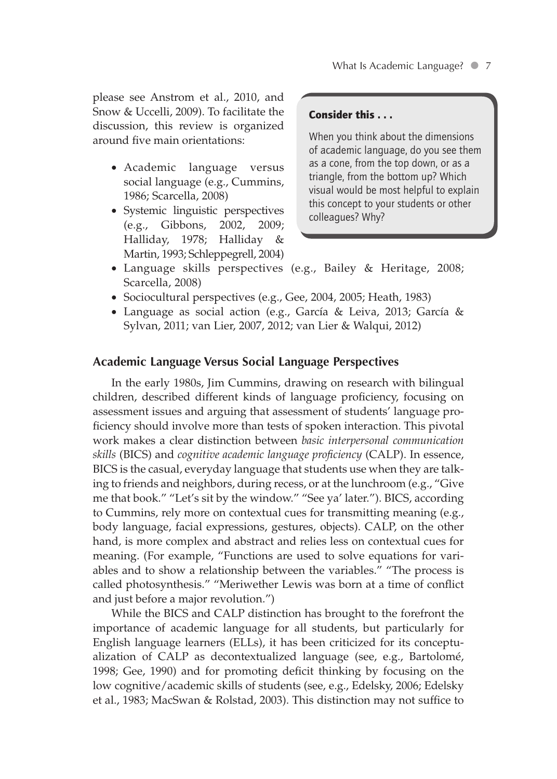please see Anstrom et al., 2010, and Snow & Uccelli, 2009). To facilitate the discussion, this review is organized around five main orientations:

- Academic language versus social language (e.g., Cummins, 1986; Scarcella, 2008)
- Systemic linguistic perspectives (e.g., Gibbons, 2002, 2009; Halliday, 1978; Halliday & Martin, 1993; Schleppegrell, 2004)

#### Consider this . . .

When you think about the dimensions of academic language, do you see them as a cone, from the top down, or as a triangle, from the bottom up? Which visual would be most helpful to explain this concept to your students or other colleagues? Why?

- Language skills perspectives (e.g., Bailey & Heritage, 2008; Scarcella, 2008)
- Sociocultural perspectives (e.g., Gee, 2004, 2005; Heath, 1983)
- Language as social action (e.g., García & Leiva, 2013; García & Sylvan, 2011; van Lier, 2007, 2012; van Lier & Walqui, 2012)

#### **Academic Language Versus Social Language Perspectives**

In the early 1980s, Jim Cummins, drawing on research with bilingual children, described different kinds of language proficiency, focusing on assessment issues and arguing that assessment of students' language proficiency should involve more than tests of spoken interaction. This pivotal work makes a clear distinction between *basic interpersonal communication skills* (BICS) and *cognitive academic language proficiency* (CALP). In essence, BICS is the casual, everyday language that students use when they are talking to friends and neighbors, during recess, or at the lunchroom (e.g., "Give me that book." "Let's sit by the window." "See ya' later."). BICS, according to Cummins, rely more on contextual cues for transmitting meaning (e.g., body language, facial expressions, gestures, objects). CALP, on the other hand, is more complex and abstract and relies less on contextual cues for meaning. (For example, "Functions are used to solve equations for variables and to show a relationship between the variables." "The process is called photosynthesis." "Meriwether Lewis was born at a time of conflict and just before a major revolution.")

While the BICS and CALP distinction has brought to the forefront the importance of academic language for all students, but particularly for English language learners (ELLs), it has been criticized for its conceptualization of CALP as decontextualized language (see, e.g., Bartolomé, 1998; Gee, 1990) and for promoting deficit thinking by focusing on the low cognitive/academic skills of students (see, e.g., Edelsky, 2006; Edelsky et al., 1983; MacSwan & Rolstad, 2003). This distinction may not suffice to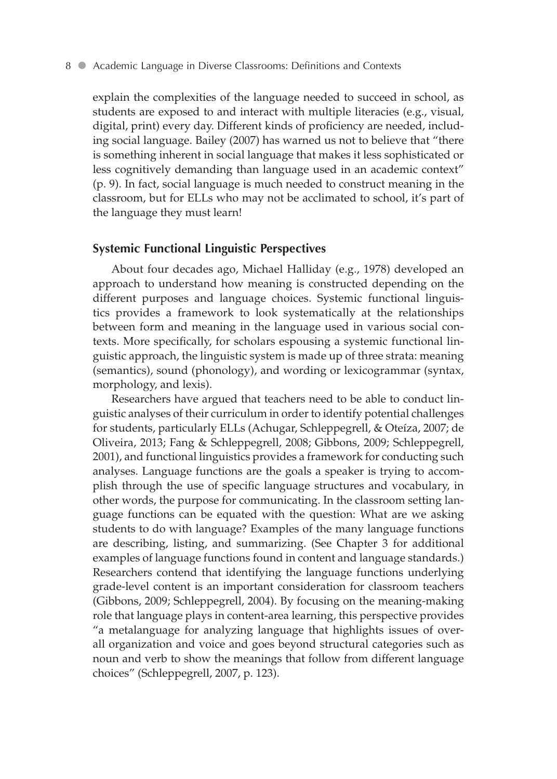explain the complexities of the language needed to succeed in school, as students are exposed to and interact with multiple literacies (e.g., visual, digital, print) every day. Different kinds of proficiency are needed, including social language. Bailey (2007) has warned us not to believe that "there is something inherent in social language that makes it less sophisticated or less cognitively demanding than language used in an academic context" (p. 9). In fact, social language is much needed to construct meaning in the classroom, but for ELLs who may not be acclimated to school, it's part of the language they must learn!

#### **Systemic Functional Linguistic Perspectives**

About four decades ago, Michael Halliday (e.g., 1978) developed an approach to understand how meaning is constructed depending on the different purposes and language choices. Systemic functional linguistics provides a framework to look systematically at the relationships between form and meaning in the language used in various social contexts. More specifically, for scholars espousing a systemic functional linguistic approach, the linguistic system is made up of three strata: meaning (semantics), sound (phonology), and wording or lexicogrammar (syntax, morphology, and lexis).

Researchers have argued that teachers need to be able to conduct linguistic analyses of their curriculum in order to identify potential challenges for students, particularly ELLs (Achugar, Schleppegrell, & Oteíza, 2007; de Oliveira, 2013; Fang & Schleppegrell, 2008; Gibbons, 2009; Schleppegrell, 2001), and functional linguistics provides a framework for conducting such analyses. Language functions are the goals a speaker is trying to accomplish through the use of specific language structures and vocabulary, in other words, the purpose for communicating. In the classroom setting language functions can be equated with the question: What are we asking students to do with language? Examples of the many language functions are describing, listing, and summarizing. (See Chapter 3 for additional examples of language functions found in content and language standards.) Researchers contend that identifying the language functions underlying grade-level content is an important consideration for classroom teachers (Gibbons, 2009; Schleppegrell, 2004). By focusing on the meaning-making role that language plays in content-area learning, this perspective provides "a metalanguage for analyzing language that highlights issues of overall organization and voice and goes beyond structural categories such as noun and verb to show the meanings that follow from different language choices" (Schleppegrell, 2007, p. 123).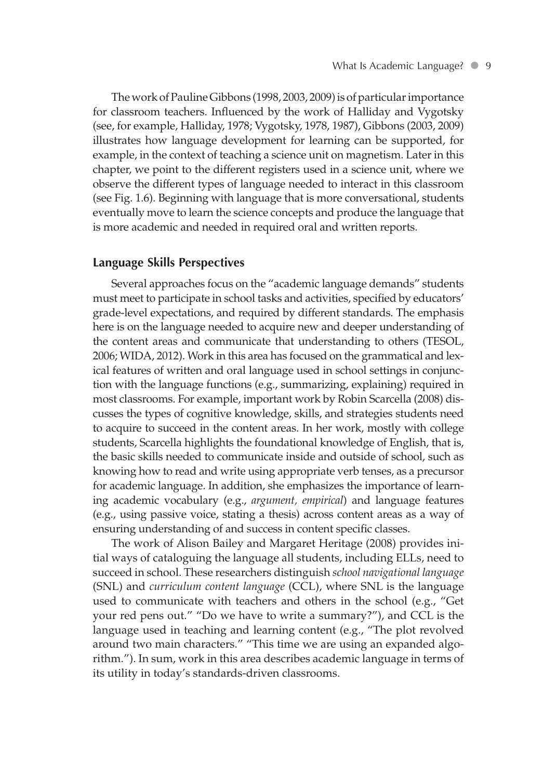The work of Pauline Gibbons (1998, 2003, 2009) is of particular importance for classroom teachers. Influenced by the work of Halliday and Vygotsky (see, for example, Halliday, 1978; Vygotsky, 1978, 1987), Gibbons (2003, 2009) illustrates how language development for learning can be supported, for example, in the context of teaching a science unit on magnetism. Later in this chapter, we point to the different registers used in a science unit, where we observe the different types of language needed to interact in this classroom (see Fig. 1.6). Beginning with language that is more conversational, students eventually move to learn the science concepts and produce the language that is more academic and needed in required oral and written reports.

#### **Language Skills Perspectives**

Several approaches focus on the "academic language demands" students must meet to participate in school tasks and activities, specified by educators' grade-level expectations, and required by different standards. The emphasis here is on the language needed to acquire new and deeper understanding of the content areas and communicate that understanding to others (TESOL, 2006; WIDA, 2012). Work in this area has focused on the grammatical and lexical features of written and oral language used in school settings in conjunction with the language functions (e.g., summarizing, explaining) required in most classrooms. For example, important work by Robin Scarcella (2008) discusses the types of cognitive knowledge, skills, and strategies students need to acquire to succeed in the content areas. In her work, mostly with college students, Scarcella highlights the foundational knowledge of English, that is, the basic skills needed to communicate inside and outside of school, such as knowing how to read and write using appropriate verb tenses, as a precursor for academic language. In addition, she emphasizes the importance of learning academic vocabulary (e.g., *argument, empirical*) and language features (e.g., using passive voice, stating a thesis) across content areas as a way of ensuring understanding of and success in content specific classes.

The work of Alison Bailey and Margaret Heritage (2008) provides initial ways of cataloguing the language all students, including ELLs, need to succeed in school. These researchers distinguish *school navigational language* (SNL) and *curriculum content language* (CCL), where SNL is the language used to communicate with teachers and others in the school (e.g., "Get your red pens out." "Do we have to write a summary?"), and CCL is the language used in teaching and learning content (e.g., "The plot revolved around two main characters." "This time we are using an expanded algorithm."). In sum, work in this area describes academic language in terms of its utility in today's standards-driven classrooms.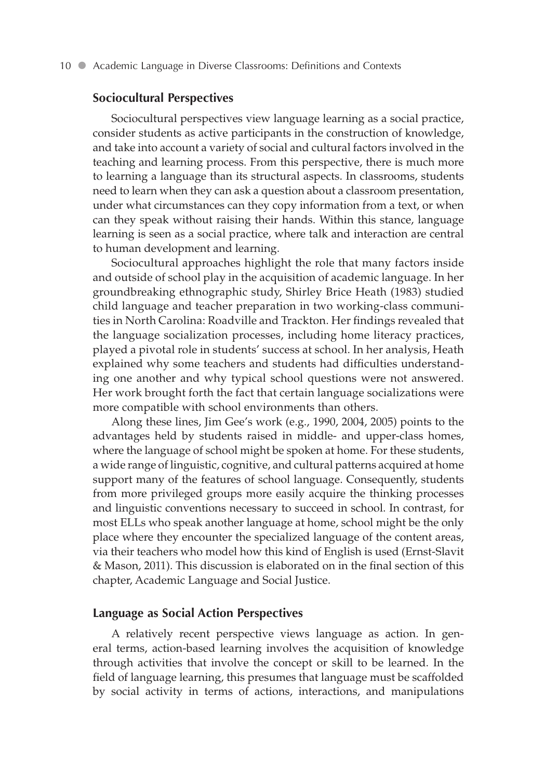#### **Sociocultural Perspectives**

Sociocultural perspectives view language learning as a social practice, consider students as active participants in the construction of knowledge, and take into account a variety of social and cultural factors involved in the teaching and learning process. From this perspective, there is much more to learning a language than its structural aspects. In classrooms, students need to learn when they can ask a question about a classroom presentation, under what circumstances can they copy information from a text, or when can they speak without raising their hands. Within this stance, language learning is seen as a social practice, where talk and interaction are central to human development and learning.

Sociocultural approaches highlight the role that many factors inside and outside of school play in the acquisition of academic language. In her groundbreaking ethnographic study, Shirley Brice Heath (1983) studied child language and teacher preparation in two working-class communities in North Carolina: Roadville and Trackton. Her findings revealed that the language socialization processes, including home literacy practices, played a pivotal role in students' success at school. In her analysis, Heath explained why some teachers and students had difficulties understanding one another and why typical school questions were not answered. Her work brought forth the fact that certain language socializations were more compatible with school environments than others.

Along these lines, Jim Gee's work (e.g., 1990, 2004, 2005) points to the advantages held by students raised in middle- and upper-class homes, where the language of school might be spoken at home. For these students, a wide range of linguistic, cognitive, and cultural patterns acquired at home support many of the features of school language. Consequently, students from more privileged groups more easily acquire the thinking processes and linguistic conventions necessary to succeed in school. In contrast, for most ELLs who speak another language at home, school might be the only place where they encounter the specialized language of the content areas, via their teachers who model how this kind of English is used (Ernst-Slavit & Mason, 2011). This discussion is elaborated on in the final section of this chapter, Academic Language and Social Justice.

#### **Language as Social Action Perspectives**

A relatively recent perspective views language as action. In general terms, action-based learning involves the acquisition of knowledge through activities that involve the concept or skill to be learned. In the field of language learning, this presumes that language must be scaffolded by social activity in terms of actions, interactions, and manipulations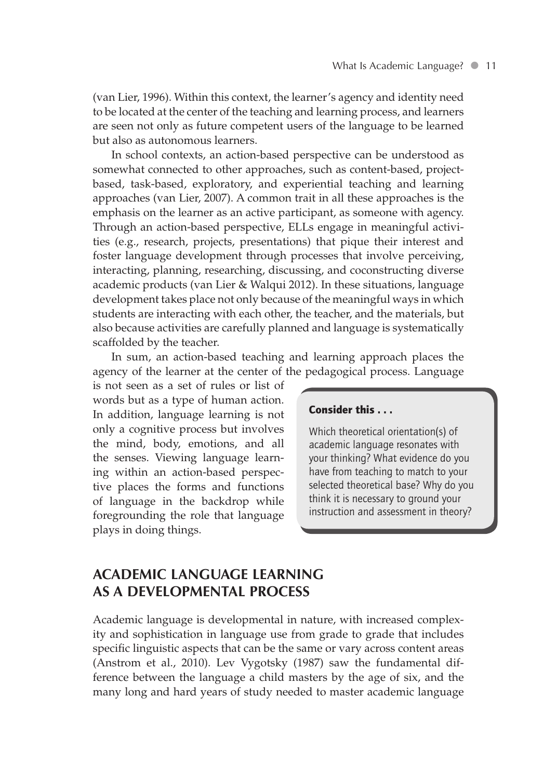(van Lier, 1996). Within this context, the learner's agency and identity need to be located at the center of the teaching and learning process, and learners are seen not only as future competent users of the language to be learned but also as autonomous learners.

In school contexts, an action-based perspective can be understood as somewhat connected to other approaches, such as content-based, projectbased, task-based, exploratory, and experiential teaching and learning approaches (van Lier, 2007). A common trait in all these approaches is the emphasis on the learner as an active participant, as someone with agency. Through an action-based perspective, ELLs engage in meaningful activities (e.g., research, projects, presentations) that pique their interest and foster language development through processes that involve perceiving, interacting, planning, researching, discussing, and coconstructing diverse academic products (van Lier & Walqui 2012). In these situations, language development takes place not only because of the meaningful ways in which students are interacting with each other, the teacher, and the materials, but also because activities are carefully planned and language is systematically scaffolded by the teacher.

In sum, an action-based teaching and learning approach places the agency of the learner at the center of the pedagogical process. Language

is not seen as a set of rules or list of words but as a type of human action. In addition, language learning is not only a cognitive process but involves the mind, body, emotions, and all the senses. Viewing language learning within an action-based perspective places the forms and functions of language in the backdrop while foregrounding the role that language plays in doing things.

#### Consider this . . .

Which theoretical orientation(s) of academic language resonates with your thinking? What evidence do you have from teaching to match to your selected theoretical base? Why do you think it is necessary to ground your instruction and assessment in theory?

### **ACADEMIC LANGUAGE LEARNING AS A DEVELOPMENTAL PROCESS**

Academic language is developmental in nature, with increased complexity and sophistication in language use from grade to grade that includes specific linguistic aspects that can be the same or vary across content areas (Anstrom et al., 2010). Lev Vygotsky (1987) saw the fundamental difference between the language a child masters by the age of six, and the many long and hard years of study needed to master academic language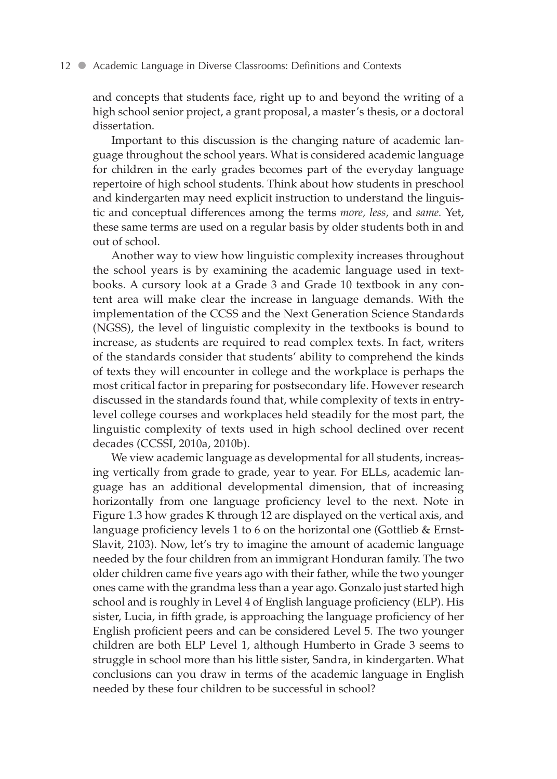and concepts that students face, right up to and beyond the writing of a high school senior project, a grant proposal, a master's thesis, or a doctoral dissertation.

Important to this discussion is the changing nature of academic language throughout the school years. What is considered academic language for children in the early grades becomes part of the everyday language repertoire of high school students. Think about how students in preschool and kindergarten may need explicit instruction to understand the linguistic and conceptual differences among the terms *more, less,* and *same.* Yet, these same terms are used on a regular basis by older students both in and out of school.

Another way to view how linguistic complexity increases throughout the school years is by examining the academic language used in textbooks. A cursory look at a Grade 3 and Grade 10 textbook in any content area will make clear the increase in language demands. With the implementation of the CCSS and the Next Generation Science Standards (NGSS), the level of linguistic complexity in the textbooks is bound to increase, as students are required to read complex texts. In fact, writers of the standards consider that students' ability to comprehend the kinds of texts they will encounter in college and the workplace is perhaps the most critical factor in preparing for postsecondary life. However research discussed in the standards found that, while complexity of texts in entrylevel college courses and workplaces held steadily for the most part, the linguistic complexity of texts used in high school declined over recent decades (CCSSI, 2010a, 2010b).

We view academic language as developmental for all students, increasing vertically from grade to grade, year to year. For ELLs, academic language has an additional developmental dimension, that of increasing horizontally from one language proficiency level to the next. Note in Figure 1.3 how grades K through 12 are displayed on the vertical axis, and language proficiency levels 1 to 6 on the horizontal one (Gottlieb & Ernst-Slavit, 2103). Now, let's try to imagine the amount of academic language needed by the four children from an immigrant Honduran family. The two older children came five years ago with their father, while the two younger ones came with the grandma less than a year ago. Gonzalo just started high school and is roughly in Level 4 of English language proficiency (ELP). His sister, Lucia, in fifth grade, is approaching the language proficiency of her English proficient peers and can be considered Level 5. The two younger children are both ELP Level 1, although Humberto in Grade 3 seems to struggle in school more than his little sister, Sandra, in kindergarten. What conclusions can you draw in terms of the academic language in English needed by these four children to be successful in school?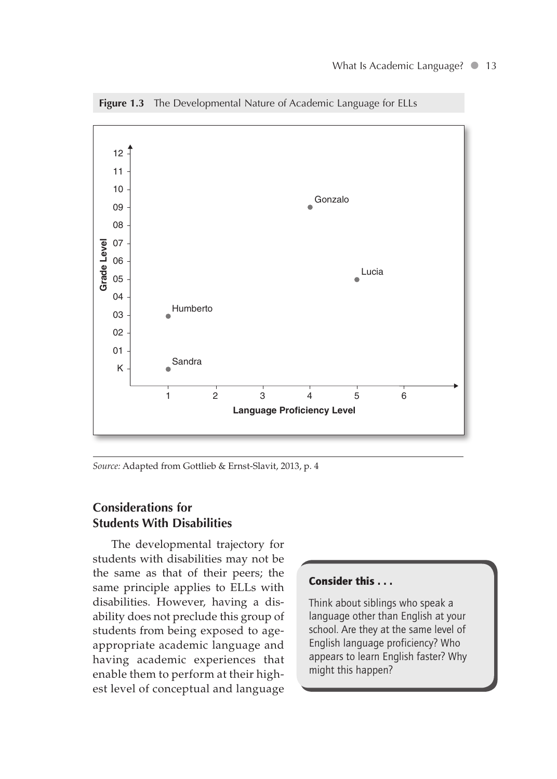

**Figure 1.3** The Developmental Nature of Academic Language for ELLs

*Source:* Adapted from Gottlieb & Ernst-Slavit, 2013, p. 4

### **Considerations for Students With Disabilities**

The developmental trajectory for students with disabilities may not be the same as that of their peers; the same principle applies to ELLs with disabilities. However, having a disability does not preclude this group of students from being exposed to ageappropriate academic language and having academic experiences that enable them to perform at their highest level of conceptual and language

#### Consider this . . .

Think about siblings who speak a language other than English at your school. Are they at the same level of English language proficiency? Who appears to learn English faster? Why might this happen?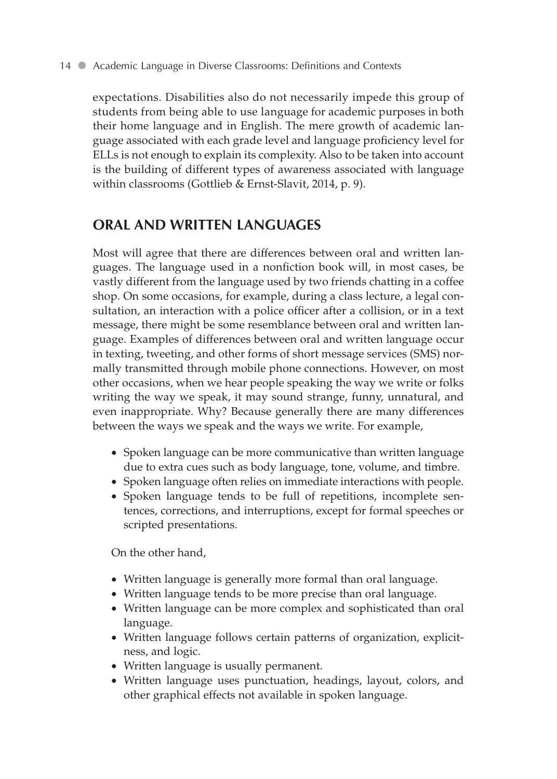expectations. Disabilities also do not necessarily impede this group of students from being able to use language for academic purposes in both their home language and in English. The mere growth of academic language associated with each grade level and language proficiency level for ELLs is not enough to explain its complexity. Also to be taken into account is the building of different types of awareness associated with language within classrooms (Gottlieb & Ernst-Slavit, 2014, p. 9).

### **ORAL AND WRITTEN LANGUAGES**

Most will agree that there are differences between oral and written languages. The language used in a nonfiction book will, in most cases, be vastly different from the language used by two friends chatting in a coffee shop. On some occasions, for example, during a class lecture, a legal consultation, an interaction with a police officer after a collision, or in a text message, there might be some resemblance between oral and written language. Examples of differences between oral and written language occur in texting, tweeting, and other forms of short message services (SMS) normally transmitted through mobile phone connections. However, on most other occasions, when we hear people speaking the way we write or folks writing the way we speak, it may sound strange, funny, unnatural, and even inappropriate. Why? Because generally there are many differences between the ways we speak and the ways we write. For example,

- Spoken language can be more communicative than written language due to extra cues such as body language, tone, volume, and timbre.
- Spoken language often relies on immediate interactions with people.
- Spoken language tends to be full of repetitions, incomplete sentences, corrections, and interruptions, except for formal speeches or scripted presentations.

On the other hand,

- Written language is generally more formal than oral language.
- Written language tends to be more precise than oral language.
- Written language can be more complex and sophisticated than oral language.
- Written language follows certain patterns of organization, explicitness, and logic.
- Written language is usually permanent.
- Written language uses punctuation, headings, layout, colors, and other graphical effects not available in spoken language.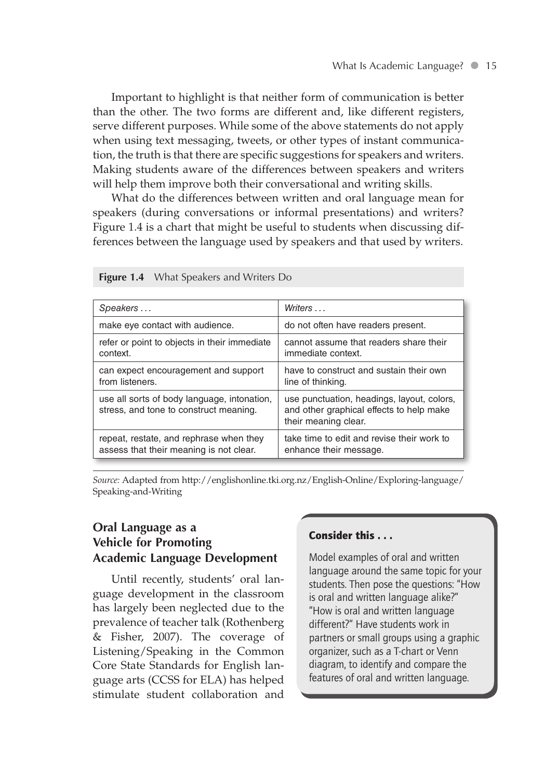Important to highlight is that neither form of communication is better than the other. The two forms are different and, like different registers, serve different purposes. While some of the above statements do not apply when using text messaging, tweets, or other types of instant communication, the truth is that there are specific suggestions for speakers and writers. Making students aware of the differences between speakers and writers will help them improve both their conversational and writing skills.

What do the differences between written and oral language mean for speakers (during conversations or informal presentations) and writers? Figure 1.4 is a chart that might be useful to students when discussing differences between the language used by speakers and that used by writers.

| Speakers                                                                              | Writers                                                                                                        |  |  |  |
|---------------------------------------------------------------------------------------|----------------------------------------------------------------------------------------------------------------|--|--|--|
| make eye contact with audience.                                                       | do not often have readers present.                                                                             |  |  |  |
| refer or point to objects in their immediate                                          | cannot assume that readers share their                                                                         |  |  |  |
| context.                                                                              | immediate context.                                                                                             |  |  |  |
| can expect encouragement and support                                                  | have to construct and sustain their own                                                                        |  |  |  |
| from listeners.                                                                       | line of thinking.                                                                                              |  |  |  |
| use all sorts of body language, intonation,<br>stress, and tone to construct meaning. | use punctuation, headings, layout, colors,<br>and other graphical effects to help make<br>their meaning clear. |  |  |  |
| repeat, restate, and rephrase when they                                               | take time to edit and revise their work to                                                                     |  |  |  |
| assess that their meaning is not clear.                                               | enhance their message.                                                                                         |  |  |  |

**Figure 1.4** What Speakers and Writers Do

*Source:* Adapted from http://englishonline.tki.org.nz/English-Online/Exploring-language/ Speaking-and-Writing

### **Oral Language as a Vehicle for Promoting Academic Language Development**

Until recently, students' oral language development in the classroom has largely been neglected due to the prevalence of teacher talk (Rothenberg & Fisher, 2007). The coverage of Listening/Speaking in the Common Core State Standards for English language arts (CCSS for ELA) has helped stimulate student collaboration and

#### Consider this . . .

Model examples of oral and written language around the same topic for your students. Then pose the questions: "How is oral and written language alike?" "How is oral and written language different?" Have students work in partners or small groups using a graphic organizer, such as a T-chart or Venn diagram, to identify and compare the features of oral and written language.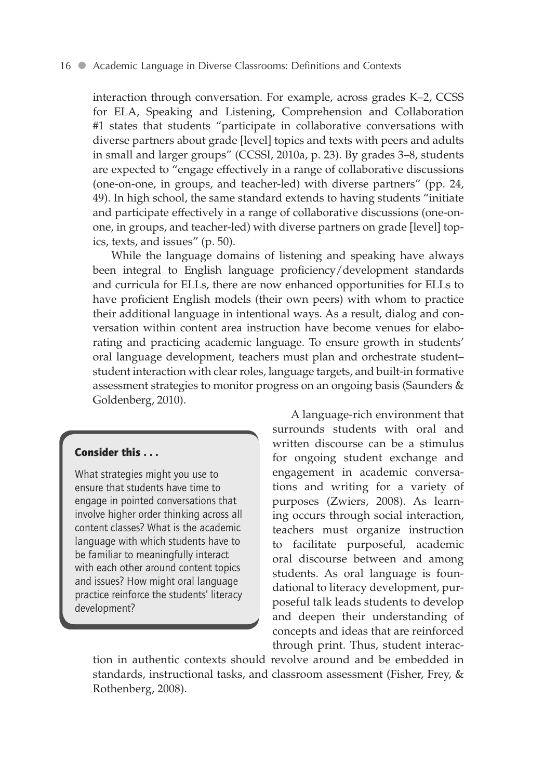interaction through conversation. For example, across grades K–2, CCSS for ELA, Speaking and Listening, Comprehension and Collaboration #1 states that students "participate in collaborative conversations with diverse partners about grade [level] topics and texts with peers and adults in small and larger groups" (CCSSI, 2010a, p. 23). By grades 3–8, students are expected to "engage effectively in a range of collaborative discussions (one-on-one, in groups, and teacher-led) with diverse partners" (pp. 24, 49). In high school, the same standard extends to having students "initiate and participate effectively in a range of collaborative discussions (one-onone, in groups, and teacher-led) with diverse partners on grade [level] topics, texts, and issues" (p. 50).

While the language domains of listening and speaking have always been integral to English language proficiency/development standards and curricula for ELLs, there are now enhanced opportunities for ELLs to have proficient English models (their own peers) with whom to practice their additional language in intentional ways. As a result, dialog and conversation within content area instruction have become venues for elaborating and practicing academic language. To ensure growth in students' oral language development, teachers must plan and orchestrate student– student interaction with clear roles, language targets, and built-in formative assessment strategies to monitor progress on an ongoing basis (Saunders & Goldenberg, 2010).

#### Consider this . . .

What strategies might you use to ensure that students have time to engage in pointed conversations that involve higher order thinking across all content classes? What is the academic language with which students have to be familiar to meaningfully interact with each other around content topics and issues? How might oral language practice reinforce the students' literacy development?

A language-rich environment that surrounds students with oral and written discourse can be a stimulus for ongoing student exchange and engagement in academic conversations and writing for a variety of purposes (Zwiers, 2008). As learning occurs through social interaction, teachers must organize instruction to facilitate purposeful, academic oral discourse between and among students. As oral language is foundational to literacy development, purposeful talk leads students to develop and deepen their understanding of concepts and ideas that are reinforced through print. Thus, student interac-

tion in authentic contexts should revolve around and be embedded in standards, instructional tasks, and classroom assessment (Fisher, Frey, & Rothenberg, 2008).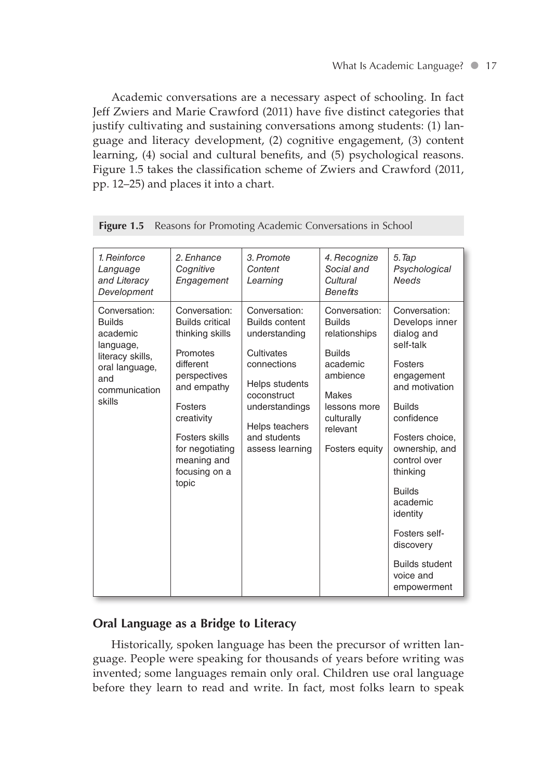Academic conversations are a necessary aspect of schooling. In fact Jeff Zwiers and Marie Crawford (2011) have five distinct categories that justify cultivating and sustaining conversations among students: (1) language and literacy development, (2) cognitive engagement, (3) content learning, (4) social and cultural benefits, and (5) psychological reasons. Figure 1.5 takes the classification scheme of Zwiers and Crawford (2011, pp. 12–25) and places it into a chart.

| 1. Reinforce<br>Language<br>and Literacy<br>Development                                                                         | 2. Enhance<br>Cognitive<br>Engagement                                                                                                                                                                                            | 3. Promote<br>Content<br>Learning                                                                                                                                                            | 4. Recognize<br>Social and<br>Cultural<br><b>Benefits</b>                                                                                                     | 5. Tap<br>Psychological<br><b>Needs</b>                                                                                                                                                                                                                                                                                                  |
|---------------------------------------------------------------------------------------------------------------------------------|----------------------------------------------------------------------------------------------------------------------------------------------------------------------------------------------------------------------------------|----------------------------------------------------------------------------------------------------------------------------------------------------------------------------------------------|---------------------------------------------------------------------------------------------------------------------------------------------------------------|------------------------------------------------------------------------------------------------------------------------------------------------------------------------------------------------------------------------------------------------------------------------------------------------------------------------------------------|
| Conversation:<br><b>Builds</b><br>academic<br>language,<br>literacy skills,<br>oral language,<br>and<br>communication<br>skills | Conversation:<br><b>Builds critical</b><br>thinking skills<br>Promotes<br>different<br>perspectives<br>and empathy<br><b>Fosters</b><br>creativity<br>Fosters skills<br>for negotiating<br>meaning and<br>focusing on a<br>topic | Conversation:<br><b>Builds content</b><br>understanding<br>Cultivates<br>connections<br>Helps students<br>coconstruct<br>understandings<br>Helps teachers<br>and students<br>assess learning | Conversation:<br><b>Builds</b><br>relationships<br><b>Builds</b><br>academic<br>ambience<br>Makes<br>lessons more<br>culturally<br>relevant<br>Fosters equity | Conversation:<br>Develops inner<br>dialog and<br>self-talk<br><b>Fosters</b><br>engagement<br>and motivation<br><b>Builds</b><br>confidence<br>Fosters choice.<br>ownership, and<br>control over<br>thinking<br><b>Builds</b><br>academic<br>identity<br>Fosters self-<br>discovery<br><b>Builds student</b><br>voice and<br>empowerment |

**Figure 1.5** Reasons for Promoting Academic Conversations in School

### **Oral Language as a Bridge to Literacy**

Historically, spoken language has been the precursor of written language. People were speaking for thousands of years before writing was invented; some languages remain only oral. Children use oral language before they learn to read and write. In fact, most folks learn to speak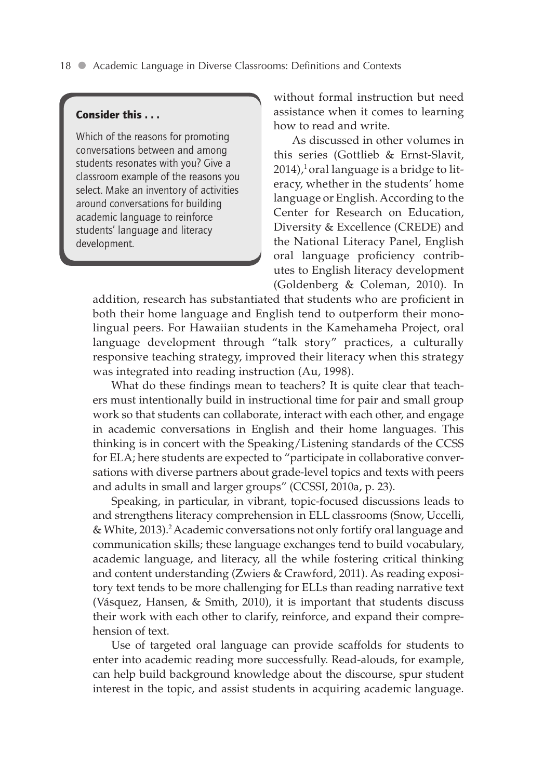#### Consider this . . .

Which of the reasons for promoting conversations between and among students resonates with you? Give a classroom example of the reasons you select. Make an inventory of activities around conversations for building academic language to reinforce students' language and literacy development.

without formal instruction but need assistance when it comes to learning how to read and write.

As discussed in other volumes in this series (Gottlieb & Ernst-Slavit,  $2014$ ,<sup>1</sup> oral language is a bridge to literacy, whether in the students' home language or English. According to the Center for Research on Education, Diversity & Excellence (CREDE) and the National Literacy Panel, English oral language proficiency contributes to English literacy development (Goldenberg & Coleman, 2010). In

addition, research has substantiated that students who are proficient in both their home language and English tend to outperform their monolingual peers. For Hawaiian students in the Kamehameha Project, oral language development through "talk story" practices, a culturally responsive teaching strategy, improved their literacy when this strategy was integrated into reading instruction (Au, 1998).

What do these findings mean to teachers? It is quite clear that teachers must intentionally build in instructional time for pair and small group work so that students can collaborate, interact with each other, and engage in academic conversations in English and their home languages. This thinking is in concert with the Speaking/Listening standards of the CCSS for ELA; here students are expected to "participate in collaborative conversations with diverse partners about grade-level topics and texts with peers and adults in small and larger groups" (CCSSI, 2010a, p. 23).

Speaking, in particular, in vibrant, topic-focused discussions leads to and strengthens literacy comprehension in ELL classrooms (Snow, Uccelli, & White, 2013).<sup>2</sup> Academic conversations not only fortify oral language and communication skills; these language exchanges tend to build vocabulary, academic language, and literacy, all the while fostering critical thinking and content understanding (Zwiers & Crawford, 2011). As reading expository text tends to be more challenging for ELLs than reading narrative text (Vásquez, Hansen, & Smith, 2010), it is important that students discuss their work with each other to clarify, reinforce, and expand their comprehension of text.

Use of targeted oral language can provide scaffolds for students to enter into academic reading more successfully. Read-alouds, for example, can help build background knowledge about the discourse, spur student interest in the topic, and assist students in acquiring academic language.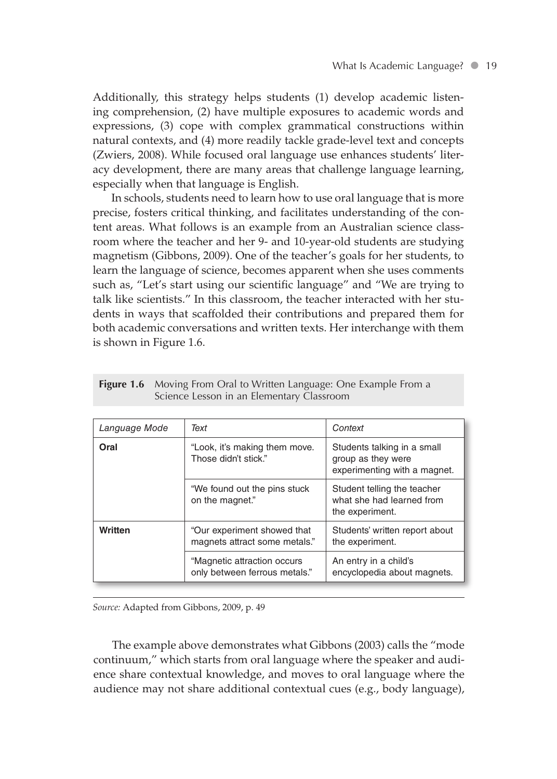Additionally, this strategy helps students (1) develop academic listening comprehension, (2) have multiple exposures to academic words and expressions, (3) cope with complex grammatical constructions within natural contexts, and (4) more readily tackle grade-level text and concepts (Zwiers, 2008). While focused oral language use enhances students' literacy development, there are many areas that challenge language learning, especially when that language is English.

In schools, students need to learn how to use oral language that is more precise, fosters critical thinking, and facilitates understanding of the content areas. What follows is an example from an Australian science classroom where the teacher and her 9- and 10-year-old students are studying magnetism (Gibbons, 2009). One of the teacher's goals for her students, to learn the language of science, becomes apparent when she uses comments such as, "Let's start using our scientific language" and "We are trying to talk like scientists." In this classroom, the teacher interacted with her students in ways that scaffolded their contributions and prepared them for both academic conversations and written texts. Her interchange with them is shown in Figure 1.6.

| Language Mode | Text                                                                                                              | Context                                                                           |
|---------------|-------------------------------------------------------------------------------------------------------------------|-----------------------------------------------------------------------------------|
| Oral          | "Look, it's making them move.<br>Those didn't stick."                                                             | Students talking in a small<br>group as they were<br>experimenting with a magnet. |
|               | "We found out the pins stuck<br>on the magnet."                                                                   | Student telling the teacher<br>what she had learned from<br>the experiment.       |
| Written       | "Our experiment showed that<br>Students' written report about<br>magnets attract some metals."<br>the experiment. |                                                                                   |
|               | "Magnetic attraction occurs<br>only between ferrous metals."                                                      | An entry in a child's<br>encyclopedia about magnets.                              |

Figure 1.6 Moving From Oral to Written Language: One Example From a Science Lesson in an Elementary Classroom

*Source:* Adapted from Gibbons, 2009, p. 49

The example above demonstrates what Gibbons (2003) calls the "mode continuum," which starts from oral language where the speaker and audience share contextual knowledge, and moves to oral language where the audience may not share additional contextual cues (e.g., body language),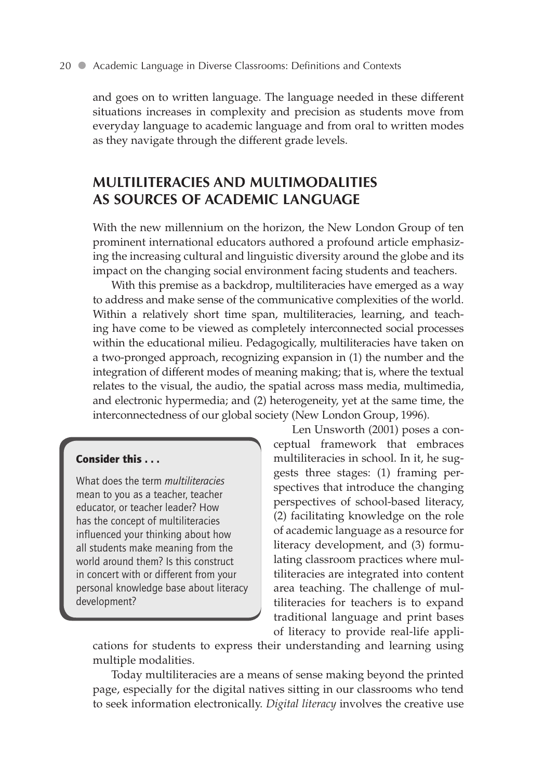and goes on to written language. The language needed in these different situations increases in complexity and precision as students move from everyday language to academic language and from oral to written modes as they navigate through the different grade levels.

# **MULTILITERACIES AND MULTIMODALITIES AS SOURCES OF ACADEMIC LANGUAGE**

With the new millennium on the horizon, the New London Group of ten prominent international educators authored a profound article emphasizing the increasing cultural and linguistic diversity around the globe and its impact on the changing social environment facing students and teachers.

With this premise as a backdrop, multiliteracies have emerged as a way to address and make sense of the communicative complexities of the world. Within a relatively short time span, multiliteracies, learning, and teaching have come to be viewed as completely interconnected social processes within the educational milieu. Pedagogically, multiliteracies have taken on a two-pronged approach, recognizing expansion in (1) the number and the integration of different modes of meaning making; that is, where the textual relates to the visual, the audio, the spatial across mass media, multimedia, and electronic hypermedia; and (2) heterogeneity, yet at the same time, the interconnectedness of our global society (New London Group, 1996).

#### Consider this . . .

What does the term *multiliteracies* mean to you as a teacher, teacher educator, or teacher leader? How has the concept of multiliteracies influenced your thinking about how all students make meaning from the world around them? Is this construct in concert with or different from your personal knowledge base about literacy development?

Len Unsworth (2001) poses a conceptual framework that embraces multiliteracies in school. In it, he suggests three stages: (1) framing perspectives that introduce the changing perspectives of school-based literacy, (2) facilitating knowledge on the role of academic language as a resource for literacy development, and (3) formulating classroom practices where multiliteracies are integrated into content area teaching. The challenge of multiliteracies for teachers is to expand traditional language and print bases of literacy to provide real-life appli-

cations for students to express their understanding and learning using multiple modalities.

Today multiliteracies are a means of sense making beyond the printed page, especially for the digital natives sitting in our classrooms who tend to seek information electronically. *Digital literacy* involves the creative use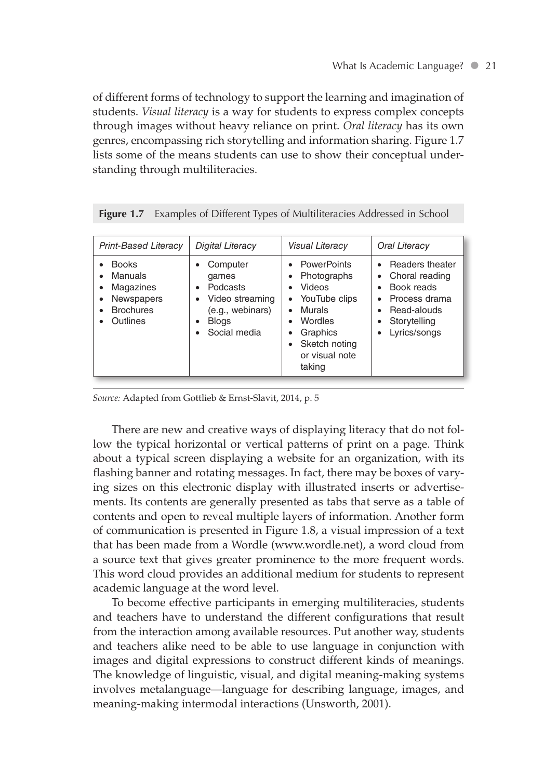of different forms of technology to support the learning and imagination of students. *Visual literacy* is a way for students to express complex concepts through images without heavy reliance on print. *Oral literacy* has its own genres, encompassing rich storytelling and information sharing. Figure 1.7 lists some of the means students can use to show their conceptual understanding through multiliteracies.

| <b>Print-Based Literacy</b>                                                                                                           | Digital Literacy                                                                                                  | Visual Literacy                                                                                                                                                                                                               | Oral Literacy                                                                                                                                                                             |
|---------------------------------------------------------------------------------------------------------------------------------------|-------------------------------------------------------------------------------------------------------------------|-------------------------------------------------------------------------------------------------------------------------------------------------------------------------------------------------------------------------------|-------------------------------------------------------------------------------------------------------------------------------------------------------------------------------------------|
| <b>Books</b><br>Manuals<br>Magazines<br>$\bullet$<br><b>Newspapers</b><br>$\bullet$<br><b>Brochures</b><br>$\bullet$<br>Outlines<br>٠ | Computer<br>games<br>Podcasts<br>Video streaming<br>$\bullet$<br>(e.g., webinars)<br><b>Blogs</b><br>Social media | <b>PowerPoints</b><br>Photographs<br>$\bullet$<br>Videos<br>$\bullet$<br>YouTube clips<br>$\bullet$<br>Murals<br>$\bullet$<br>Wordles<br>$\bullet$<br>Graphics<br>٠<br>Sketch noting<br>$\bullet$<br>or visual note<br>taking | <b>Readers theater</b><br>$\bullet$<br>Choral reading<br>$\bullet$<br>Book reads<br>$\bullet$<br>Process drama<br>$\bullet$<br>Read-alouds<br>٠<br>Storytelling<br>٠<br>Lyrics/songs<br>٠ |

|  |  | Figure 1.7 Examples of Different Types of Multiliteracies Addressed in School |  |  |  |  |  |  |
|--|--|-------------------------------------------------------------------------------|--|--|--|--|--|--|
|--|--|-------------------------------------------------------------------------------|--|--|--|--|--|--|

*Source:* Adapted from Gottlieb & Ernst-Slavit, 2014, p. 5

There are new and creative ways of displaying literacy that do not follow the typical horizontal or vertical patterns of print on a page. Think about a typical screen displaying a website for an organization, with its flashing banner and rotating messages. In fact, there may be boxes of varying sizes on this electronic display with illustrated inserts or advertisements. Its contents are generally presented as tabs that serve as a table of contents and open to reveal multiple layers of information. Another form of communication is presented in Figure 1.8, a visual impression of a text that has been made from a Wordle (www.wordle.net), a word cloud from a source text that gives greater prominence to the more frequent words. This word cloud provides an additional medium for students to represent academic language at the word level.

To become effective participants in emerging multiliteracies, students and teachers have to understand the different configurations that result from the interaction among available resources. Put another way, students and teachers alike need to be able to use language in conjunction with images and digital expressions to construct different kinds of meanings. The knowledge of linguistic, visual, and digital meaning-making systems involves metalanguage—language for describing language, images, and meaning-making intermodal interactions (Unsworth, 2001).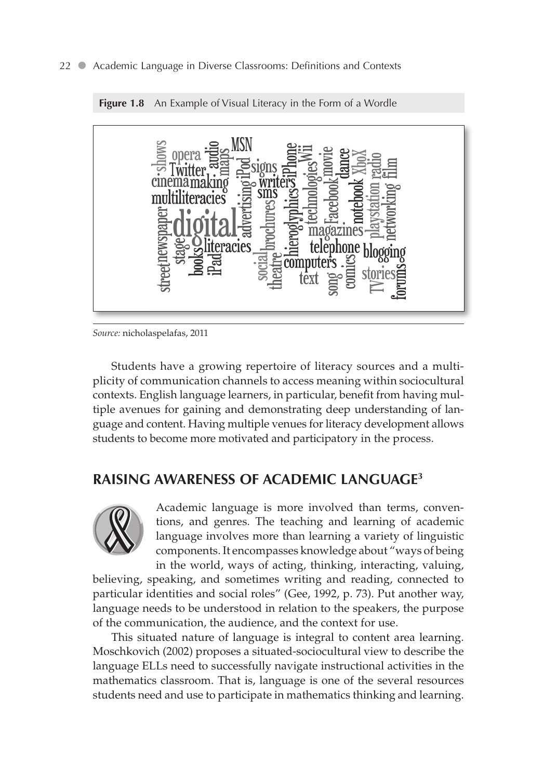

**Figure 1.8** An Example of Visual Literacy in the Form of a Wordle

*Source:* nicholaspelafas, 2011

Students have a growing repertoire of literacy sources and a multiplicity of communication channels to access meaning within sociocultural contexts. English language learners, in particular, benefit from having multiple avenues for gaining and demonstrating deep understanding of language and content. Having multiple venues for literacy development allows students to become more motivated and participatory in the process.

### **RAISING AWARENESS OF ACADEMIC LANGUAGE3**



Academic language is more involved than terms, conventions, and genres. The teaching and learning of academic language involves more than learning a variety of linguistic components. It encompasses knowledge about "ways of being in the world, ways of acting, thinking, interacting, valuing,

believing, speaking, and sometimes writing and reading, connected to particular identities and social roles" (Gee, 1992, p. 73). Put another way, language needs to be understood in relation to the speakers, the purpose of the communication, the audience, and the context for use.

This situated nature of language is integral to content area learning. Moschkovich (2002) proposes a situated-sociocultural view to describe the language ELLs need to successfully navigate instructional activities in the mathematics classroom. That is, language is one of the several resources students need and use to participate in mathematics thinking and learning.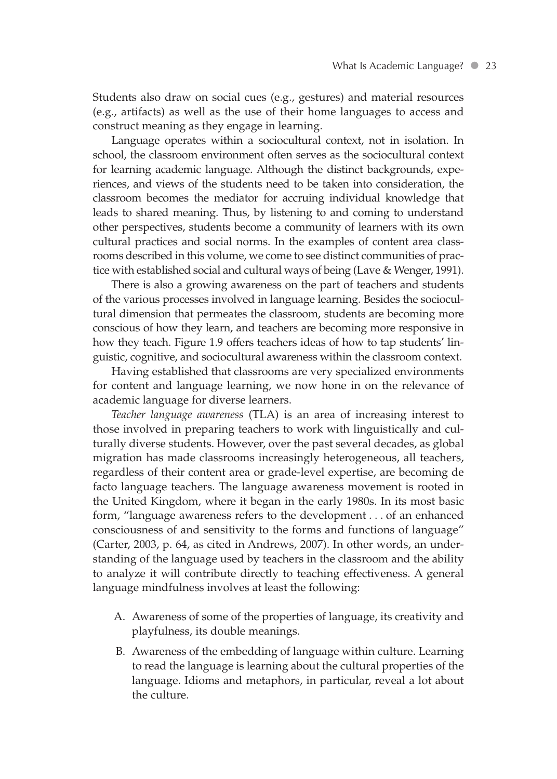Students also draw on social cues (e.g., gestures) and material resources (e.g., artifacts) as well as the use of their home languages to access and construct meaning as they engage in learning.

Language operates within a sociocultural context, not in isolation. In school, the classroom environment often serves as the sociocultural context for learning academic language. Although the distinct backgrounds, experiences, and views of the students need to be taken into consideration, the classroom becomes the mediator for accruing individual knowledge that leads to shared meaning. Thus, by listening to and coming to understand other perspectives, students become a community of learners with its own cultural practices and social norms. In the examples of content area classrooms described in this volume, we come to see distinct communities of practice with established social and cultural ways of being (Lave & Wenger, 1991).

There is also a growing awareness on the part of teachers and students of the various processes involved in language learning. Besides the sociocultural dimension that permeates the classroom, students are becoming more conscious of how they learn, and teachers are becoming more responsive in how they teach. Figure 1.9 offers teachers ideas of how to tap students' linguistic, cognitive, and sociocultural awareness within the classroom context.

Having established that classrooms are very specialized environments for content and language learning, we now hone in on the relevance of academic language for diverse learners.

*Teacher language awareness* (TLA) is an area of increasing interest to those involved in preparing teachers to work with linguistically and culturally diverse students. However, over the past several decades, as global migration has made classrooms increasingly heterogeneous, all teachers, regardless of their content area or grade-level expertise, are becoming de facto language teachers. The language awareness movement is rooted in the United Kingdom, where it began in the early 1980s. In its most basic form, "language awareness refers to the development . . . of an enhanced consciousness of and sensitivity to the forms and functions of language" (Carter, 2003, p. 64, as cited in Andrews, 2007). In other words, an understanding of the language used by teachers in the classroom and the ability to analyze it will contribute directly to teaching effectiveness. A general language mindfulness involves at least the following:

- A. Awareness of some of the properties of language, its creativity and playfulness, its double meanings.
- B. Awareness of the embedding of language within culture. Learning to read the language is learning about the cultural properties of the language. Idioms and metaphors, in particular, reveal a lot about the culture.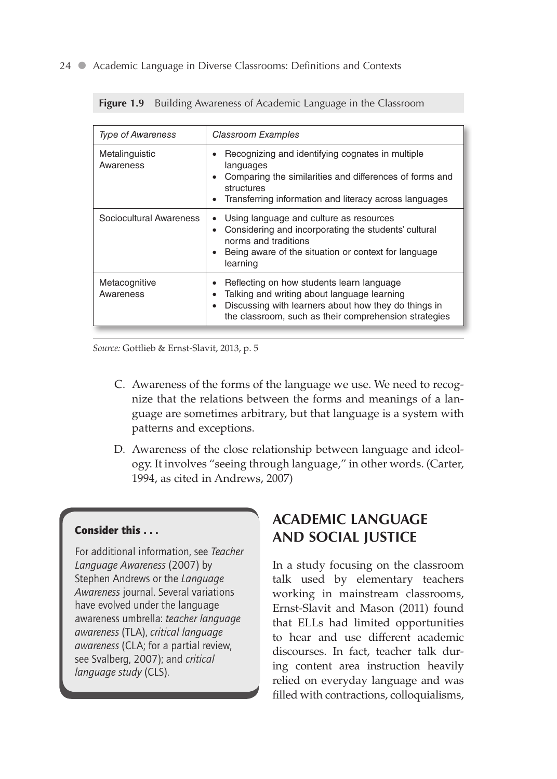| <b>Type of Awareness</b>    | Classroom Examples                                                                                                                                                                                                                  |  |  |
|-----------------------------|-------------------------------------------------------------------------------------------------------------------------------------------------------------------------------------------------------------------------------------|--|--|
| Metalinguistic<br>Awareness | Recognizing and identifying cognates in multiple<br>languages<br>Comparing the similarities and differences of forms and<br>$\bullet$<br>structures<br>Transferring information and literacy across languages<br>$\bullet$          |  |  |
| Sociocultural Awareness     | Using language and culture as resources<br>Considering and incorporating the students' cultural<br>$\bullet$<br>norms and traditions<br>Being aware of the situation or context for language<br>$\bullet$<br>learning               |  |  |
| Metacognitive<br>Awareness  | Reflecting on how students learn language<br>Talking and writing about language learning<br>$\bullet$<br>Discussing with learners about how they do things in<br>$\bullet$<br>the classroom, such as their comprehension strategies |  |  |

**Figure 1.9** Building Awareness of Academic Language in the Classroom

*Source:* Gottlieb & Ernst-Slavit, 2013, p. 5

- C. Awareness of the forms of the language we use. We need to recognize that the relations between the forms and meanings of a language are sometimes arbitrary, but that language is a system with patterns and exceptions.
- D. Awareness of the close relationship between language and ideology. It involves "seeing through language," in other words. (Carter, 1994, as cited in Andrews, 2007)

#### Consider this . . .

For additional information, see *Teacher Language Awareness* (2007) by Stephen Andrews or the *Language Awareness* journal. Several variations have evolved under the language awareness umbrella: *teacher language awareness* (TLA), *critical language awareness* (CLA; for a partial review, see Svalberg, 2007); and *critical language study* (CLS).

# **ACADEMIC LANGUAGE AND SOCIAL JUSTICE**

In a study focusing on the classroom talk used by elementary teachers working in mainstream classrooms, Ernst-Slavit and Mason (2011) found that ELLs had limited opportunities to hear and use different academic discourses. In fact, teacher talk during content area instruction heavily relied on everyday language and was filled with contractions, colloquialisms,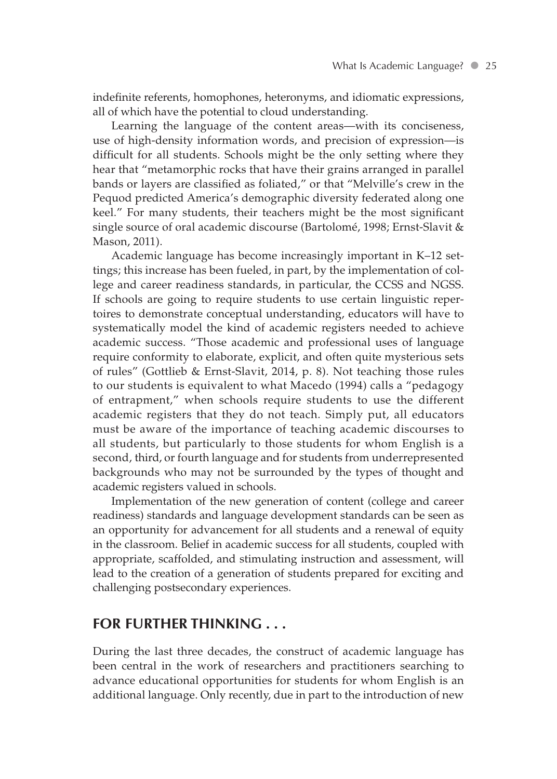indefinite referents, homophones, heteronyms, and idiomatic expressions, all of which have the potential to cloud understanding.

Learning the language of the content areas—with its conciseness, use of high-density information words, and precision of expression—is difficult for all students. Schools might be the only setting where they hear that "metamorphic rocks that have their grains arranged in parallel bands or layers are classified as foliated," or that "Melville's crew in the Pequod predicted America's demographic diversity federated along one keel." For many students, their teachers might be the most significant single source of oral academic discourse (Bartolomé, 1998; Ernst-Slavit & Mason, 2011).

Academic language has become increasingly important in K–12 settings; this increase has been fueled, in part, by the implementation of college and career readiness standards, in particular, the CCSS and NGSS. If schools are going to require students to use certain linguistic repertoires to demonstrate conceptual understanding, educators will have to systematically model the kind of academic registers needed to achieve academic success. "Those academic and professional uses of language require conformity to elaborate, explicit, and often quite mysterious sets of rules" (Gottlieb & Ernst-Slavit, 2014, p. 8). Not teaching those rules to our students is equivalent to what Macedo (1994) calls a "pedagogy of entrapment," when schools require students to use the different academic registers that they do not teach. Simply put, all educators must be aware of the importance of teaching academic discourses to all students, but particularly to those students for whom English is a second, third, or fourth language and for students from underrepresented backgrounds who may not be surrounded by the types of thought and academic registers valued in schools.

Implementation of the new generation of content (college and career readiness) standards and language development standards can be seen as an opportunity for advancement for all students and a renewal of equity in the classroom. Belief in academic success for all students, coupled with appropriate, scaffolded, and stimulating instruction and assessment, will lead to the creation of a generation of students prepared for exciting and challenging postsecondary experiences.

## **FOR FURTHER THINKING . . .**

During the last three decades, the construct of academic language has been central in the work of researchers and practitioners searching to advance educational opportunities for students for whom English is an additional language. Only recently, due in part to the introduction of new